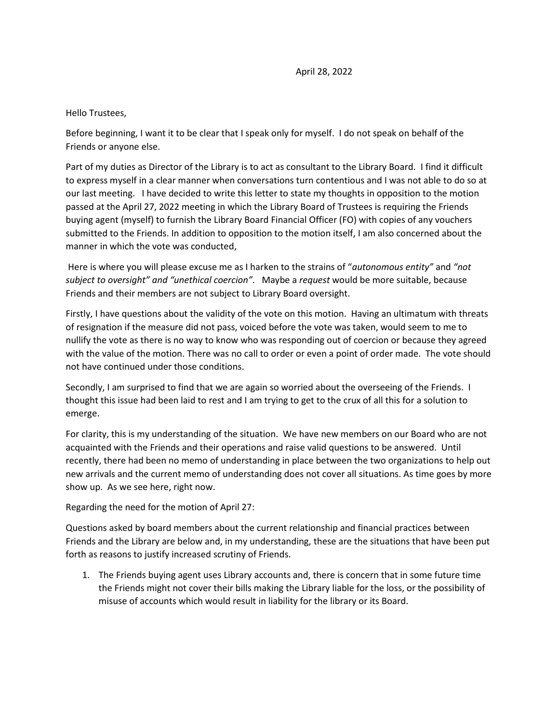Hello Trustees,

Before beginning, I want it to be clear that I speak only for myself. I do not speak on behalf of the Friends or anyone else.

Part of my duties as Director of the Library is to act as consultant to the Library Board. I find it difficult to express myself in a clear manner when conversations turn contentious and I was not able to do so at our last meeting. I have decided to write this letter to state my thoughts in opposition to the motion passed at the April 27, 2022 meeting in which the Library Board of Trustees is requiring the Friends buying agent (myself) to furnish the Library Board Financial Officer (FO) with copies of any vouchers submitted to the Friends. In addition to opposition to the motion itself, I am also concerned about the manner in which the vote was conducted,

Here is where you will please excuse me as I harken to the strains of "*autonomous entity"* and *"not subject to oversight" and "unethical coercion"*. Maybe a *request* would be more suitable, because Friends and their members are not subject to Library Board oversight.

Firstly, I have questions about the validity of the vote on this motion. Having an ultimatum with threats of resignation if the measure did not pass, voiced before the vote was taken, would seem to me to nullify the vote as there is no way to know who was responding out of coercion or because they agreed with the value of the motion. There was no call to order or even a point of order made. The vote should not have continued under those conditions.

Secondly, I am surprised to find that we are again so worried about the overseeing of the Friends. I thought this issue had been laid to rest and I am trying to get to the crux of all this for a solution to emerge.

For clarity, this is my understanding of the situation. We have new members on our Board who are not acquainted with the Friends and their operations and raise valid questions to be answered. Until recently, there had been no memo of understanding in place between the two organizations to help out new arrivals and the current memo of understanding does not cover all situations. As time goes by more show up. As we see here, right now.

Regarding the need for the motion of April 27:

Questions asked by board members about the current relationship and financial practices between Friends and the Library are below and, in my understanding, these are the situations that have been put forth as reasons to justify increased scrutiny of Friends.

1. The Friends buying agent uses Library accounts and, there is concern that in some future time the Friends might not cover their bills making the Library liable for the loss, or the possibility of misuse of accounts which would result in liability for the library or its Board.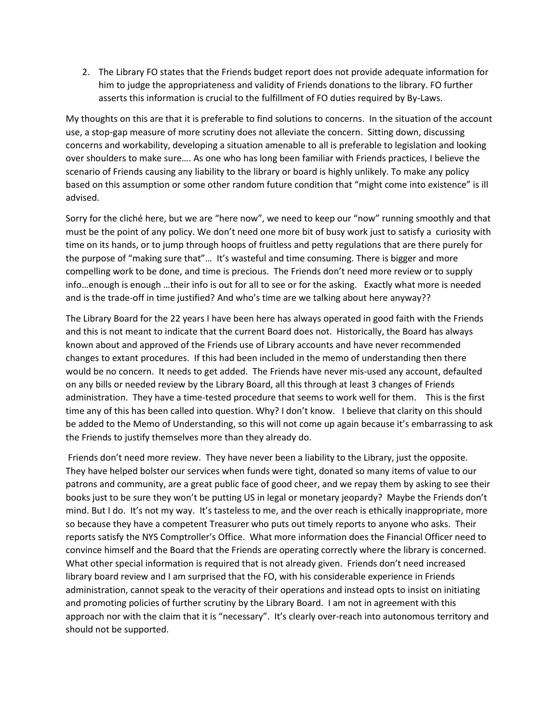2. The Library FO states that the Friends budget report does not provide adequate information for him to judge the appropriateness and validity of Friends donations to the library. FO further asserts this information is crucial to the fulfillment of FO duties required by By-Laws.

My thoughts on this are that it is preferable to find solutions to concerns. In the situation of the account use, a stop-gap measure of more scrutiny does not alleviate the concern. Sitting down, discussing concerns and workability, developing a situation amenable to all is preferable to legislation and looking over shoulders to make sure…. As one who has long been familiar with Friends practices, I believe the scenario of Friends causing any liability to the library or board is highly unlikely. To make any policy based on this assumption or some other random future condition that "might come into existence" is ill advised.

Sorry for the cliché here, but we are "here now", we need to keep our "now" running smoothly and that must be the point of any policy. We don't need one more bit of busy work just to satisfy a curiosity with time on its hands, or to jump through hoops of fruitless and petty regulations that are there purely for the purpose of "making sure that"… It's wasteful and time consuming. There is bigger and more compelling work to be done, and time is precious. The Friends don't need more review or to supply info…enough is enough …their info is out for all to see or for the asking. Exactly what more is needed and is the trade-off in time justified? And who's time are we talking about here anyway??

The Library Board for the 22 years I have been here has always operated in good faith with the Friends and this is not meant to indicate that the current Board does not. Historically, the Board has always known about and approved of the Friends use of Library accounts and have never recommended changes to extant procedures. If this had been included in the memo of understanding then there would be no concern. It needs to get added. The Friends have never mis-used any account, defaulted on any bills or needed review by the Library Board, all this through at least 3 changes of Friends administration. They have a time-tested procedure that seems to work well for them. This is the first time any of this has been called into question. Why? I don't know. I believe that clarity on this should be added to the Memo of Understanding, so this will not come up again because it's embarrassing to ask the Friends to justify themselves more than they already do.

Friends don't need more review. They have never been a liability to the Library, just the opposite. They have helped bolster our services when funds were tight, donated so many items of value to our patrons and community, are a great public face of good cheer, and we repay them by asking to see their books just to be sure they won't be putting US in legal or monetary jeopardy? Maybe the Friends don't mind. But I do. It's not my way. It's tasteless to me, and the over reach is ethically inappropriate, more so because they have a competent Treasurer who puts out timely reports to anyone who asks. Their reports satisfy the NYS Comptroller's Office. What more information does the Financial Officer need to convince himself and the Board that the Friends are operating correctly where the library is concerned. What other special information is required that is not already given. Friends don't need increased library board review and I am surprised that the FO, with his considerable experience in Friends administration, cannot speak to the veracity of their operations and instead opts to insist on initiating and promoting policies of further scrutiny by the Library Board. I am not in agreement with this approach nor with the claim that it is "necessary". It's clearly over-reach into autonomous territory and should not be supported.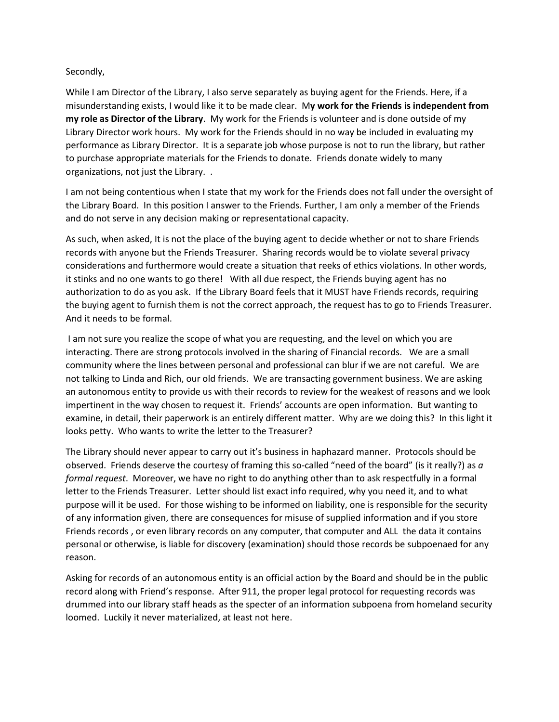## Secondly,

While I am Director of the Library, I also serve separately as buying agent for the Friends. Here, if a misunderstanding exists, I would like it to be made clear. M**y work for the Friends is independent from my role as Director of the Library**. My work for the Friends is volunteer and is done outside of my Library Director work hours. My work for the Friends should in no way be included in evaluating my performance as Library Director. It is a separate job whose purpose is not to run the library, but rather to purchase appropriate materials for the Friends to donate. Friends donate widely to many organizations, not just the Library. .

I am not being contentious when I state that my work for the Friends does not fall under the oversight of the Library Board. In this position I answer to the Friends. Further, I am only a member of the Friends and do not serve in any decision making or representational capacity.

As such, when asked, It is not the place of the buying agent to decide whether or not to share Friends records with anyone but the Friends Treasurer. Sharing records would be to violate several privacy considerations and furthermore would create a situation that reeks of ethics violations. In other words, it stinks and no one wants to go there! With all due respect, the Friends buying agent has no authorization to do as you ask. If the Library Board feels that it MUST have Friends records, requiring the buying agent to furnish them is not the correct approach, the request has to go to Friends Treasurer. And it needs to be formal.

I am not sure you realize the scope of what you are requesting, and the level on which you are interacting. There are strong protocols involved in the sharing of Financial records. We are a small community where the lines between personal and professional can blur if we are not careful. We are not talking to Linda and Rich, our old friends. We are transacting government business. We are asking an autonomous entity to provide us with their records to review for the weakest of reasons and we look impertinent in the way chosen to request it. Friends' accounts are open information. But wanting to examine, in detail, their paperwork is an entirely different matter. Why are we doing this? In this light it looks petty. Who wants to write the letter to the Treasurer?

The Library should never appear to carry out it's business in haphazard manner. Protocols should be observed. Friends deserve the courtesy of framing this so-called "need of the board" (is it really?) as *a formal request*. Moreover, we have no right to do anything other than to ask respectfully in a formal letter to the Friends Treasurer. Letter should list exact info required, why you need it, and to what purpose will it be used. For those wishing to be informed on liability, one is responsible for the security of any information given, there are consequences for misuse of supplied information and if you store Friends records , or even library records on any computer, that computer and ALL the data it contains personal or otherwise, is liable for discovery (examination) should those records be subpoenaed for any reason.

Asking for records of an autonomous entity is an official action by the Board and should be in the public record along with Friend's response. After 911, the proper legal protocol for requesting records was drummed into our library staff heads as the specter of an information subpoena from homeland security loomed. Luckily it never materialized, at least not here.